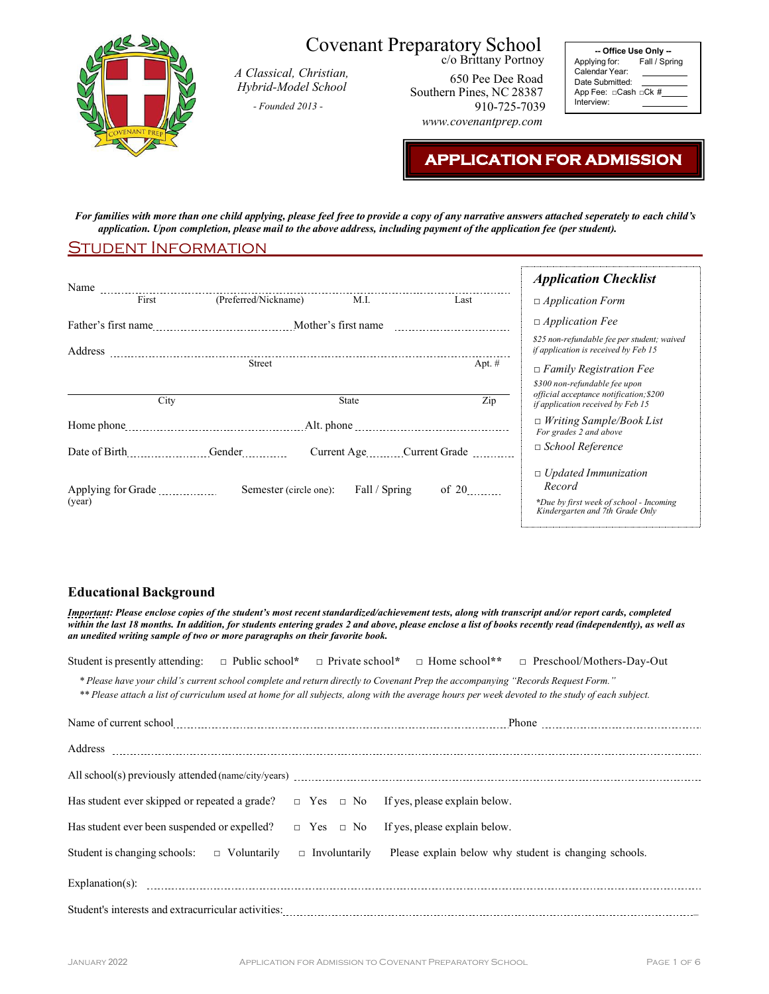

## Covenant Preparatory School

*A Classical, Christian, Hybrid-Model School* 

*- Founded 2013 -*

c/o Brittany Portnoy 650 Pee Dee Road Southern Pines, NC 28387 910-725-7039 *[www.covenantprep.com](http://www.covenantprep.com/)*

**-- Office Use Only --** Applying for: Fall / Spring Calendar Year: Date Submitted: App Fee: □Cash □Ck # Interview:

### **APPLICATION FOR ADMISSION**

*For families with more than one child applying, please feel free to provide a copy of any narrative answers attached seperately to each child's* application. Upon completion, please mail to the above address, including payment of the application fee (per student).

#### Student Information

|                              |                        |               |                           | <b>Application Checklist</b>                                                                                        |
|------------------------------|------------------------|---------------|---------------------------|---------------------------------------------------------------------------------------------------------------------|
| First                        | (Preferred/Nickname)   | M.I.          | Last                      | $\Box$ Application Form                                                                                             |
|                              |                        |               |                           | $\Box$ Application Fee                                                                                              |
| Address                      |                        |               |                           | \$25 non-refundable fee per student; waived<br>if application is received by Feb 15                                 |
|                              | Street                 |               | Apt. #                    | $\Box$ Family Registration Fee                                                                                      |
| City                         |                        | State         | Zip                       | \$300 non-refundable fee upon<br>official acceptance notification; \$200<br>if application received by Feb 15       |
|                              |                        |               |                           | $\Box$ Writing Sample/Book List<br>For grades 2 and above                                                           |
|                              |                        |               | Current Age Current Grade | $\Box$ School Reference                                                                                             |
| Applying for Grade<br>(year) | Semester (circle one): | Fall / Spring | of 20                     | $\Box$ Updated Immunization<br>Record<br>*Due by first week of school - Incoming<br>Kindergarten and 7th Grade Only |

#### **Educational Background**

*Important: Please enclose copies of the student's most recent standardized/achievement tests, along with transcript and/or report cards, completed within the last 18 months. In addition, for students entering grades 2 and above, please enclose a list of books recently read (independently), as well as an unedited writing sample of two or more paragraphs on their favorite book.* 

Student is presently attending: □ Public school**\*** □ Private school**\*** □ Home school**\*\*** □ Preschool/Mothers-Day-Out

*\* Please have your child's current school complete and return directly to Covenant Prep the accompanying "Records Request Form."* \*\* Please attach a list of curriculum used at home for all subjects, along with the average hours per week devoted to the study of each subject.

| Has student ever skipped or repeated a grade? $\Box$ Yes $\Box$ No If yes, please explain below. |                                                       |
|--------------------------------------------------------------------------------------------------|-------------------------------------------------------|
| Has student ever been suspended or expelled? $\Box$ Yes $\Box$ No If yes, please explain below.  |                                                       |
| Student is changing schools: $\Box$ Voluntarily $\Box$ Involuntarily                             | Please explain below why student is changing schools. |
|                                                                                                  |                                                       |
|                                                                                                  |                                                       |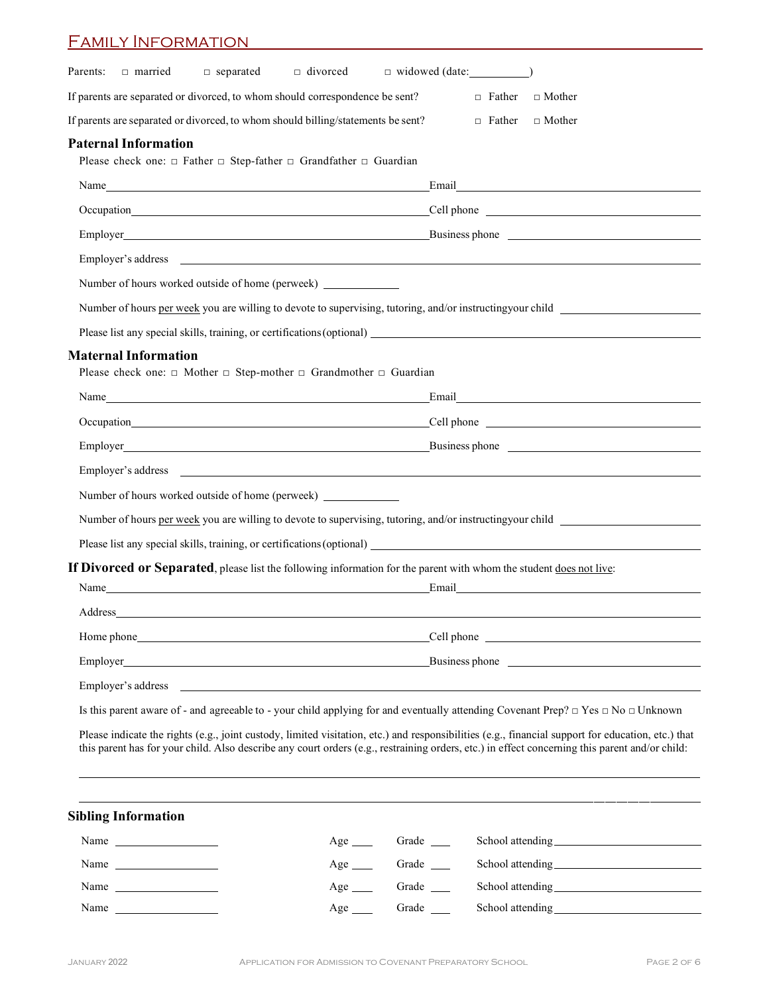| □ married □ separated □ divorced □ widowed (date: ______________________________<br>If parents are separated or divorced, to whom should correspondence be sent?<br>$\Box$ Father<br>$\Box$ Mother<br>If parents are separated or divorced, to whom should billing/statements be sent?<br>$\Box$ Father<br>$\Box$ Mother<br>Please check one: $\Box$ Father $\Box$ Step-father $\Box$ Grandfather $\Box$ Guardian<br>Email <b>Execution Contract Contract Contract Contract Contract Contract Contract Contract Contract Contract Contract Contract Contract Contract Contract Contract Contract Contract Contract Contract Contract Contract Contrac</b><br>Occupation Cell phone Cell phone Cell phone Cell phone Cell phone Cell phone Cell phone Cell phone Cell phone Cell phone Cell phone Cell phone Cell phone Cell phone Cell phone Cell phone Cell phone Cell phone Cell phone Ce<br>Employer's address experience of the state of the state of the state of the state of the state of the state of the state of the state of the state of the state of the state of the state of the state of the state of the sta<br>Number of hours worked outside of home (perweek) _______________<br>Number of hours per week you are willing to devote to supervising, tutoring, and/or instructing your child<br>Please check one: $\Box$ Mother $\Box$ Step-mother $\Box$ Grandmother $\Box$ Guardian<br>Name Email Email Email Email Email Email Email Email Email Email Email Email Email Email Albert and the United States of the United States and States and States and States and States and States and States and States and St<br>Occupation Cell phone Cell phone Cell phone Cell phone Cell phone Cell phone Cell phone Cell phone Cell phone Cell phone Cell phone Cell phone Cell phone Cell phone Cell phone Cell phone Cell phone Cell phone Cell phone Ce<br>Employer Business phone Business phone Business phone Business phone and the state of the state of the state of the state of the state of the state of the state of the state of the state of the state of the state of the st<br>Employer's address experience and the set of the set of the set of the set of the set of the set of the set of the set of the set of the set of the set of the set of the set of the set of the set of the set of the set of t<br>Number of hours worked outside of home (perweek) ________________________________<br>Number of hours per week you are willing to devote to supervising, tutoring, and/or instructing your child<br>If Divorced or Separated, please list the following information for the parent with whom the student does not live:<br>Name<br>Email and the contract of the contract of the contract of the contract of the contract of the contract of the contract of the contract of the contract of the contract of the contract of the contract of the contract of the<br>Cell phone<br>Employer's address and the state of the state of the state of the state of the state of the state of the state of the state of the state of the state of the state of the state of the state of the state of the state of the<br>Is this parent aware of - and agreeable to - your child applying for and eventually attending Covenant Prep? $\Box$ Yes $\Box$ No $\Box$ Unknown<br>Please indicate the rights (e.g., joint custody, limited visitation, etc.) and responsibilities (e.g., financial support for education, etc.) that<br>this parent has for your child. Also describe any court orders (e.g., restraining orders, etc.) in effect concerning this parent and/or child: | <u>Family Information</u>   |  |
|--------------------------------------------------------------------------------------------------------------------------------------------------------------------------------------------------------------------------------------------------------------------------------------------------------------------------------------------------------------------------------------------------------------------------------------------------------------------------------------------------------------------------------------------------------------------------------------------------------------------------------------------------------------------------------------------------------------------------------------------------------------------------------------------------------------------------------------------------------------------------------------------------------------------------------------------------------------------------------------------------------------------------------------------------------------------------------------------------------------------------------------------------------------------------------------------------------------------------------------------------------------------------------------------------------------------------------------------------------------------------------------------------------------------------------------------------------------------------------------------------------------------------------------------------------------------------------------------------------------------------------------------------------------------------------------------------------------------------------------------------------------------------------------------------------------------------------------------------------------------------------------------------------------------------------------------------------------------------------------------------------------------------------------------------------------------------------------------------------------------------------------------------------------------------------------------------------------------------------------------------------------------------------------------------------------------------------------------------------------------------------------------------------------------------------------------------------------------------------------------------------------------------------------------------------------------------------------------------------------------------------------------------------------------------------------------------------------------------------------------------------------------------------------------------------------------------------------------------------------------------------------------------------------------------------------------------------------------------------------------------------------------------------------------------------------------------------------------------------------------------------------------------------------------------------------------------------------------------------------------------------------------------------------------------------------------------------------------------------------------------------------------------------------------------------------------------------------------------------------------------------------------------------------------------------------------------------------------------------------------------------|-----------------------------|--|
|                                                                                                                                                                                                                                                                                                                                                                                                                                                                                                                                                                                                                                                                                                                                                                                                                                                                                                                                                                                                                                                                                                                                                                                                                                                                                                                                                                                                                                                                                                                                                                                                                                                                                                                                                                                                                                                                                                                                                                                                                                                                                                                                                                                                                                                                                                                                                                                                                                                                                                                                                                                                                                                                                                                                                                                                                                                                                                                                                                                                                                                                                                                                                                                                                                                                                                                                                                                                                                                                                                                                                                                                                                | Parents:                    |  |
|                                                                                                                                                                                                                                                                                                                                                                                                                                                                                                                                                                                                                                                                                                                                                                                                                                                                                                                                                                                                                                                                                                                                                                                                                                                                                                                                                                                                                                                                                                                                                                                                                                                                                                                                                                                                                                                                                                                                                                                                                                                                                                                                                                                                                                                                                                                                                                                                                                                                                                                                                                                                                                                                                                                                                                                                                                                                                                                                                                                                                                                                                                                                                                                                                                                                                                                                                                                                                                                                                                                                                                                                                                |                             |  |
|                                                                                                                                                                                                                                                                                                                                                                                                                                                                                                                                                                                                                                                                                                                                                                                                                                                                                                                                                                                                                                                                                                                                                                                                                                                                                                                                                                                                                                                                                                                                                                                                                                                                                                                                                                                                                                                                                                                                                                                                                                                                                                                                                                                                                                                                                                                                                                                                                                                                                                                                                                                                                                                                                                                                                                                                                                                                                                                                                                                                                                                                                                                                                                                                                                                                                                                                                                                                                                                                                                                                                                                                                                |                             |  |
|                                                                                                                                                                                                                                                                                                                                                                                                                                                                                                                                                                                                                                                                                                                                                                                                                                                                                                                                                                                                                                                                                                                                                                                                                                                                                                                                                                                                                                                                                                                                                                                                                                                                                                                                                                                                                                                                                                                                                                                                                                                                                                                                                                                                                                                                                                                                                                                                                                                                                                                                                                                                                                                                                                                                                                                                                                                                                                                                                                                                                                                                                                                                                                                                                                                                                                                                                                                                                                                                                                                                                                                                                                | <b>Paternal Information</b> |  |
|                                                                                                                                                                                                                                                                                                                                                                                                                                                                                                                                                                                                                                                                                                                                                                                                                                                                                                                                                                                                                                                                                                                                                                                                                                                                                                                                                                                                                                                                                                                                                                                                                                                                                                                                                                                                                                                                                                                                                                                                                                                                                                                                                                                                                                                                                                                                                                                                                                                                                                                                                                                                                                                                                                                                                                                                                                                                                                                                                                                                                                                                                                                                                                                                                                                                                                                                                                                                                                                                                                                                                                                                                                |                             |  |
|                                                                                                                                                                                                                                                                                                                                                                                                                                                                                                                                                                                                                                                                                                                                                                                                                                                                                                                                                                                                                                                                                                                                                                                                                                                                                                                                                                                                                                                                                                                                                                                                                                                                                                                                                                                                                                                                                                                                                                                                                                                                                                                                                                                                                                                                                                                                                                                                                                                                                                                                                                                                                                                                                                                                                                                                                                                                                                                                                                                                                                                                                                                                                                                                                                                                                                                                                                                                                                                                                                                                                                                                                                |                             |  |
|                                                                                                                                                                                                                                                                                                                                                                                                                                                                                                                                                                                                                                                                                                                                                                                                                                                                                                                                                                                                                                                                                                                                                                                                                                                                                                                                                                                                                                                                                                                                                                                                                                                                                                                                                                                                                                                                                                                                                                                                                                                                                                                                                                                                                                                                                                                                                                                                                                                                                                                                                                                                                                                                                                                                                                                                                                                                                                                                                                                                                                                                                                                                                                                                                                                                                                                                                                                                                                                                                                                                                                                                                                |                             |  |
|                                                                                                                                                                                                                                                                                                                                                                                                                                                                                                                                                                                                                                                                                                                                                                                                                                                                                                                                                                                                                                                                                                                                                                                                                                                                                                                                                                                                                                                                                                                                                                                                                                                                                                                                                                                                                                                                                                                                                                                                                                                                                                                                                                                                                                                                                                                                                                                                                                                                                                                                                                                                                                                                                                                                                                                                                                                                                                                                                                                                                                                                                                                                                                                                                                                                                                                                                                                                                                                                                                                                                                                                                                |                             |  |
|                                                                                                                                                                                                                                                                                                                                                                                                                                                                                                                                                                                                                                                                                                                                                                                                                                                                                                                                                                                                                                                                                                                                                                                                                                                                                                                                                                                                                                                                                                                                                                                                                                                                                                                                                                                                                                                                                                                                                                                                                                                                                                                                                                                                                                                                                                                                                                                                                                                                                                                                                                                                                                                                                                                                                                                                                                                                                                                                                                                                                                                                                                                                                                                                                                                                                                                                                                                                                                                                                                                                                                                                                                |                             |  |
|                                                                                                                                                                                                                                                                                                                                                                                                                                                                                                                                                                                                                                                                                                                                                                                                                                                                                                                                                                                                                                                                                                                                                                                                                                                                                                                                                                                                                                                                                                                                                                                                                                                                                                                                                                                                                                                                                                                                                                                                                                                                                                                                                                                                                                                                                                                                                                                                                                                                                                                                                                                                                                                                                                                                                                                                                                                                                                                                                                                                                                                                                                                                                                                                                                                                                                                                                                                                                                                                                                                                                                                                                                |                             |  |
|                                                                                                                                                                                                                                                                                                                                                                                                                                                                                                                                                                                                                                                                                                                                                                                                                                                                                                                                                                                                                                                                                                                                                                                                                                                                                                                                                                                                                                                                                                                                                                                                                                                                                                                                                                                                                                                                                                                                                                                                                                                                                                                                                                                                                                                                                                                                                                                                                                                                                                                                                                                                                                                                                                                                                                                                                                                                                                                                                                                                                                                                                                                                                                                                                                                                                                                                                                                                                                                                                                                                                                                                                                |                             |  |
|                                                                                                                                                                                                                                                                                                                                                                                                                                                                                                                                                                                                                                                                                                                                                                                                                                                                                                                                                                                                                                                                                                                                                                                                                                                                                                                                                                                                                                                                                                                                                                                                                                                                                                                                                                                                                                                                                                                                                                                                                                                                                                                                                                                                                                                                                                                                                                                                                                                                                                                                                                                                                                                                                                                                                                                                                                                                                                                                                                                                                                                                                                                                                                                                                                                                                                                                                                                                                                                                                                                                                                                                                                |                             |  |
|                                                                                                                                                                                                                                                                                                                                                                                                                                                                                                                                                                                                                                                                                                                                                                                                                                                                                                                                                                                                                                                                                                                                                                                                                                                                                                                                                                                                                                                                                                                                                                                                                                                                                                                                                                                                                                                                                                                                                                                                                                                                                                                                                                                                                                                                                                                                                                                                                                                                                                                                                                                                                                                                                                                                                                                                                                                                                                                                                                                                                                                                                                                                                                                                                                                                                                                                                                                                                                                                                                                                                                                                                                | <b>Maternal Information</b> |  |
|                                                                                                                                                                                                                                                                                                                                                                                                                                                                                                                                                                                                                                                                                                                                                                                                                                                                                                                                                                                                                                                                                                                                                                                                                                                                                                                                                                                                                                                                                                                                                                                                                                                                                                                                                                                                                                                                                                                                                                                                                                                                                                                                                                                                                                                                                                                                                                                                                                                                                                                                                                                                                                                                                                                                                                                                                                                                                                                                                                                                                                                                                                                                                                                                                                                                                                                                                                                                                                                                                                                                                                                                                                |                             |  |
|                                                                                                                                                                                                                                                                                                                                                                                                                                                                                                                                                                                                                                                                                                                                                                                                                                                                                                                                                                                                                                                                                                                                                                                                                                                                                                                                                                                                                                                                                                                                                                                                                                                                                                                                                                                                                                                                                                                                                                                                                                                                                                                                                                                                                                                                                                                                                                                                                                                                                                                                                                                                                                                                                                                                                                                                                                                                                                                                                                                                                                                                                                                                                                                                                                                                                                                                                                                                                                                                                                                                                                                                                                |                             |  |
|                                                                                                                                                                                                                                                                                                                                                                                                                                                                                                                                                                                                                                                                                                                                                                                                                                                                                                                                                                                                                                                                                                                                                                                                                                                                                                                                                                                                                                                                                                                                                                                                                                                                                                                                                                                                                                                                                                                                                                                                                                                                                                                                                                                                                                                                                                                                                                                                                                                                                                                                                                                                                                                                                                                                                                                                                                                                                                                                                                                                                                                                                                                                                                                                                                                                                                                                                                                                                                                                                                                                                                                                                                |                             |  |
|                                                                                                                                                                                                                                                                                                                                                                                                                                                                                                                                                                                                                                                                                                                                                                                                                                                                                                                                                                                                                                                                                                                                                                                                                                                                                                                                                                                                                                                                                                                                                                                                                                                                                                                                                                                                                                                                                                                                                                                                                                                                                                                                                                                                                                                                                                                                                                                                                                                                                                                                                                                                                                                                                                                                                                                                                                                                                                                                                                                                                                                                                                                                                                                                                                                                                                                                                                                                                                                                                                                                                                                                                                |                             |  |
|                                                                                                                                                                                                                                                                                                                                                                                                                                                                                                                                                                                                                                                                                                                                                                                                                                                                                                                                                                                                                                                                                                                                                                                                                                                                                                                                                                                                                                                                                                                                                                                                                                                                                                                                                                                                                                                                                                                                                                                                                                                                                                                                                                                                                                                                                                                                                                                                                                                                                                                                                                                                                                                                                                                                                                                                                                                                                                                                                                                                                                                                                                                                                                                                                                                                                                                                                                                                                                                                                                                                                                                                                                |                             |  |
|                                                                                                                                                                                                                                                                                                                                                                                                                                                                                                                                                                                                                                                                                                                                                                                                                                                                                                                                                                                                                                                                                                                                                                                                                                                                                                                                                                                                                                                                                                                                                                                                                                                                                                                                                                                                                                                                                                                                                                                                                                                                                                                                                                                                                                                                                                                                                                                                                                                                                                                                                                                                                                                                                                                                                                                                                                                                                                                                                                                                                                                                                                                                                                                                                                                                                                                                                                                                                                                                                                                                                                                                                                |                             |  |
|                                                                                                                                                                                                                                                                                                                                                                                                                                                                                                                                                                                                                                                                                                                                                                                                                                                                                                                                                                                                                                                                                                                                                                                                                                                                                                                                                                                                                                                                                                                                                                                                                                                                                                                                                                                                                                                                                                                                                                                                                                                                                                                                                                                                                                                                                                                                                                                                                                                                                                                                                                                                                                                                                                                                                                                                                                                                                                                                                                                                                                                                                                                                                                                                                                                                                                                                                                                                                                                                                                                                                                                                                                |                             |  |
|                                                                                                                                                                                                                                                                                                                                                                                                                                                                                                                                                                                                                                                                                                                                                                                                                                                                                                                                                                                                                                                                                                                                                                                                                                                                                                                                                                                                                                                                                                                                                                                                                                                                                                                                                                                                                                                                                                                                                                                                                                                                                                                                                                                                                                                                                                                                                                                                                                                                                                                                                                                                                                                                                                                                                                                                                                                                                                                                                                                                                                                                                                                                                                                                                                                                                                                                                                                                                                                                                                                                                                                                                                |                             |  |
|                                                                                                                                                                                                                                                                                                                                                                                                                                                                                                                                                                                                                                                                                                                                                                                                                                                                                                                                                                                                                                                                                                                                                                                                                                                                                                                                                                                                                                                                                                                                                                                                                                                                                                                                                                                                                                                                                                                                                                                                                                                                                                                                                                                                                                                                                                                                                                                                                                                                                                                                                                                                                                                                                                                                                                                                                                                                                                                                                                                                                                                                                                                                                                                                                                                                                                                                                                                                                                                                                                                                                                                                                                |                             |  |
|                                                                                                                                                                                                                                                                                                                                                                                                                                                                                                                                                                                                                                                                                                                                                                                                                                                                                                                                                                                                                                                                                                                                                                                                                                                                                                                                                                                                                                                                                                                                                                                                                                                                                                                                                                                                                                                                                                                                                                                                                                                                                                                                                                                                                                                                                                                                                                                                                                                                                                                                                                                                                                                                                                                                                                                                                                                                                                                                                                                                                                                                                                                                                                                                                                                                                                                                                                                                                                                                                                                                                                                                                                |                             |  |
|                                                                                                                                                                                                                                                                                                                                                                                                                                                                                                                                                                                                                                                                                                                                                                                                                                                                                                                                                                                                                                                                                                                                                                                                                                                                                                                                                                                                                                                                                                                                                                                                                                                                                                                                                                                                                                                                                                                                                                                                                                                                                                                                                                                                                                                                                                                                                                                                                                                                                                                                                                                                                                                                                                                                                                                                                                                                                                                                                                                                                                                                                                                                                                                                                                                                                                                                                                                                                                                                                                                                                                                                                                |                             |  |
|                                                                                                                                                                                                                                                                                                                                                                                                                                                                                                                                                                                                                                                                                                                                                                                                                                                                                                                                                                                                                                                                                                                                                                                                                                                                                                                                                                                                                                                                                                                                                                                                                                                                                                                                                                                                                                                                                                                                                                                                                                                                                                                                                                                                                                                                                                                                                                                                                                                                                                                                                                                                                                                                                                                                                                                                                                                                                                                                                                                                                                                                                                                                                                                                                                                                                                                                                                                                                                                                                                                                                                                                                                |                             |  |
|                                                                                                                                                                                                                                                                                                                                                                                                                                                                                                                                                                                                                                                                                                                                                                                                                                                                                                                                                                                                                                                                                                                                                                                                                                                                                                                                                                                                                                                                                                                                                                                                                                                                                                                                                                                                                                                                                                                                                                                                                                                                                                                                                                                                                                                                                                                                                                                                                                                                                                                                                                                                                                                                                                                                                                                                                                                                                                                                                                                                                                                                                                                                                                                                                                                                                                                                                                                                                                                                                                                                                                                                                                |                             |  |
|                                                                                                                                                                                                                                                                                                                                                                                                                                                                                                                                                                                                                                                                                                                                                                                                                                                                                                                                                                                                                                                                                                                                                                                                                                                                                                                                                                                                                                                                                                                                                                                                                                                                                                                                                                                                                                                                                                                                                                                                                                                                                                                                                                                                                                                                                                                                                                                                                                                                                                                                                                                                                                                                                                                                                                                                                                                                                                                                                                                                                                                                                                                                                                                                                                                                                                                                                                                                                                                                                                                                                                                                                                |                             |  |
|                                                                                                                                                                                                                                                                                                                                                                                                                                                                                                                                                                                                                                                                                                                                                                                                                                                                                                                                                                                                                                                                                                                                                                                                                                                                                                                                                                                                                                                                                                                                                                                                                                                                                                                                                                                                                                                                                                                                                                                                                                                                                                                                                                                                                                                                                                                                                                                                                                                                                                                                                                                                                                                                                                                                                                                                                                                                                                                                                                                                                                                                                                                                                                                                                                                                                                                                                                                                                                                                                                                                                                                                                                |                             |  |

## **Sibling Information** Name Age Grade School attending Name Age Grade School attending Name Age Grade School attending Name Age Grade School attending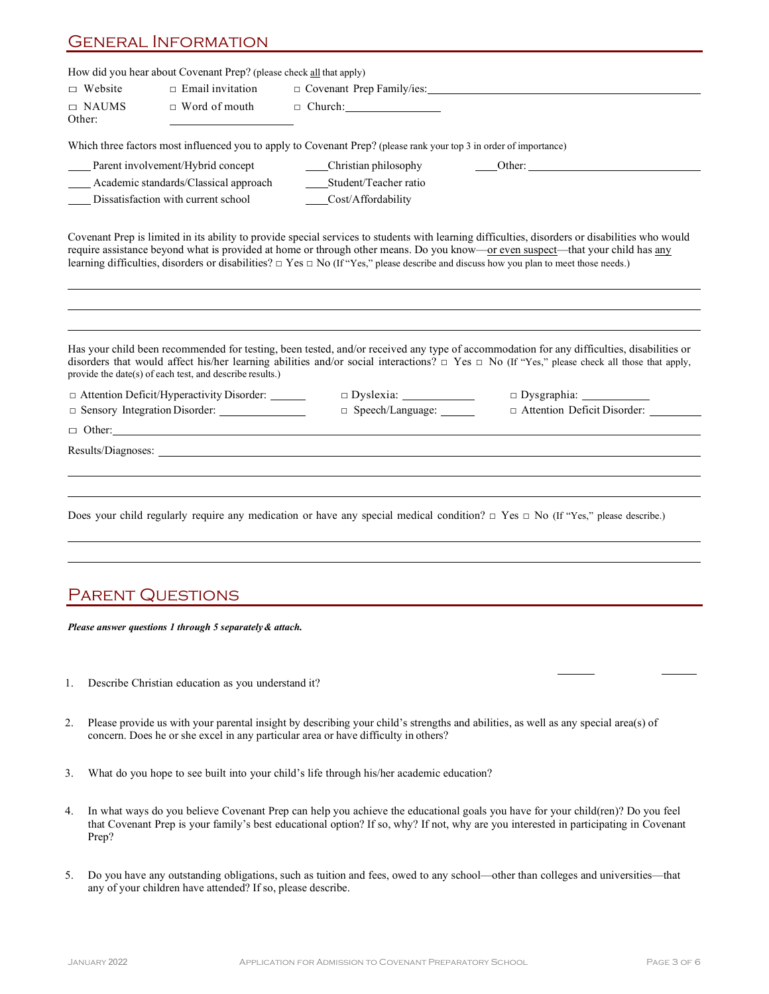#### General Information

|                        | How did you hear about Covenant Prep? (please check all that apply)                                                                                                                                                            |                             |                                                                                                                                                                                                                                                                                                                                                                                                                                       |
|------------------------|--------------------------------------------------------------------------------------------------------------------------------------------------------------------------------------------------------------------------------|-----------------------------|---------------------------------------------------------------------------------------------------------------------------------------------------------------------------------------------------------------------------------------------------------------------------------------------------------------------------------------------------------------------------------------------------------------------------------------|
| $\Box$ Website         | $\Box$ Email invitation                                                                                                                                                                                                        | O Covenant Prep Family/ies: |                                                                                                                                                                                                                                                                                                                                                                                                                                       |
| $\Box$ NAUMS<br>Other: | $\Box$ Word of mouth                                                                                                                                                                                                           | $\Box$ Church:              |                                                                                                                                                                                                                                                                                                                                                                                                                                       |
|                        | Which three factors most influenced you to apply to Covenant Prep? (please rank your top 3 in order of importance)                                                                                                             |                             |                                                                                                                                                                                                                                                                                                                                                                                                                                       |
|                        | Parent involvement/Hybrid concept                                                                                                                                                                                              | ____Christian philosophy    | Other:                                                                                                                                                                                                                                                                                                                                                                                                                                |
|                        | Academic standards/Classical approach                                                                                                                                                                                          | Student/Teacher ratio       |                                                                                                                                                                                                                                                                                                                                                                                                                                       |
|                        | Dissatisfaction with current school                                                                                                                                                                                            | Cost/Affordability          |                                                                                                                                                                                                                                                                                                                                                                                                                                       |
|                        |                                                                                                                                                                                                                                |                             | Covenant Prep is limited in its ability to provide special services to students with learning difficulties, disorders or disabilities who would<br>require assistance beyond what is provided at home or through other means. Do you know—or even suspect—that your child has any<br>learning difficulties, disorders or disabilities? $\Box$ Yes $\Box$ No (If "Yes," please describe and discuss how you plan to meet those needs.) |
|                        | provide the date(s) of each test, and describe results.)<br>□ Attention Deficit/Hyperactivity Disorder: _______                                                                                                                | $\Box$ Dyslexia: $\Box$     | Has your child been recommended for testing, been tested, and/or received any type of accommodation for any difficulties, disabilities or<br>disorders that would affect his/her learning abilities and/or social interactions? □ Yes □ No (If "Yes," please check all those that apply,                                                                                                                                              |
|                        | Sensory Integration Disorder:                                                                                                                                                                                                  | $\Box$ Speech/Language:     | □ Attention Deficit Disorder:                                                                                                                                                                                                                                                                                                                                                                                                         |
|                        | $\Box$ Other:                                                                                                                                                                                                                  |                             |                                                                                                                                                                                                                                                                                                                                                                                                                                       |
|                        | Results/Diagnoses: New York 2014 19:30 and 2014 19:30 and 2014 19:30 and 2014 19:30 and 2014 19:30 and 2014 19:30 and 2014 19:30 and 2014 19:30 and 2014 19:30 and 2014 19:30 and 2014 19:30 and 2014 19:30 and 2014 19:30 and |                             |                                                                                                                                                                                                                                                                                                                                                                                                                                       |
|                        |                                                                                                                                                                                                                                |                             |                                                                                                                                                                                                                                                                                                                                                                                                                                       |
|                        |                                                                                                                                                                                                                                |                             | Does your child regularly require any medication or have any special medical condition? $\Box$ Yes $\Box$ No (If "Yes," please describe.)                                                                                                                                                                                                                                                                                             |
|                        |                                                                                                                                                                                                                                |                             |                                                                                                                                                                                                                                                                                                                                                                                                                                       |
|                        |                                                                                                                                                                                                                                |                             |                                                                                                                                                                                                                                                                                                                                                                                                                                       |
|                        | <b>PARENT QUESTIONS</b>                                                                                                                                                                                                        |                             |                                                                                                                                                                                                                                                                                                                                                                                                                                       |

*Please answer questions 1 through 5 separately & attach.*

- 1. Describe Christian education as you understand it?
- 2. Please provide us with your parental insight by describing your child's strengths and abilities, as well as any special area(s) of concern. Does he or she excel in any particular area or have difficulty in others?
- 3. What do you hope to see built into your child's life through his/her academic education?
- 4. In what ways do you believe Covenant Prep can help you achieve the educational goals you have for your child(ren)? Do you feel that Covenant Prep is your family's best educational option? If so, why? If not, why are you interested in participating in Covenant Prep?
- 5. Do you have any outstanding obligations, such as tuition and fees, owed to any school—other than colleges and universities—that any of your children have attended? If so, please describe.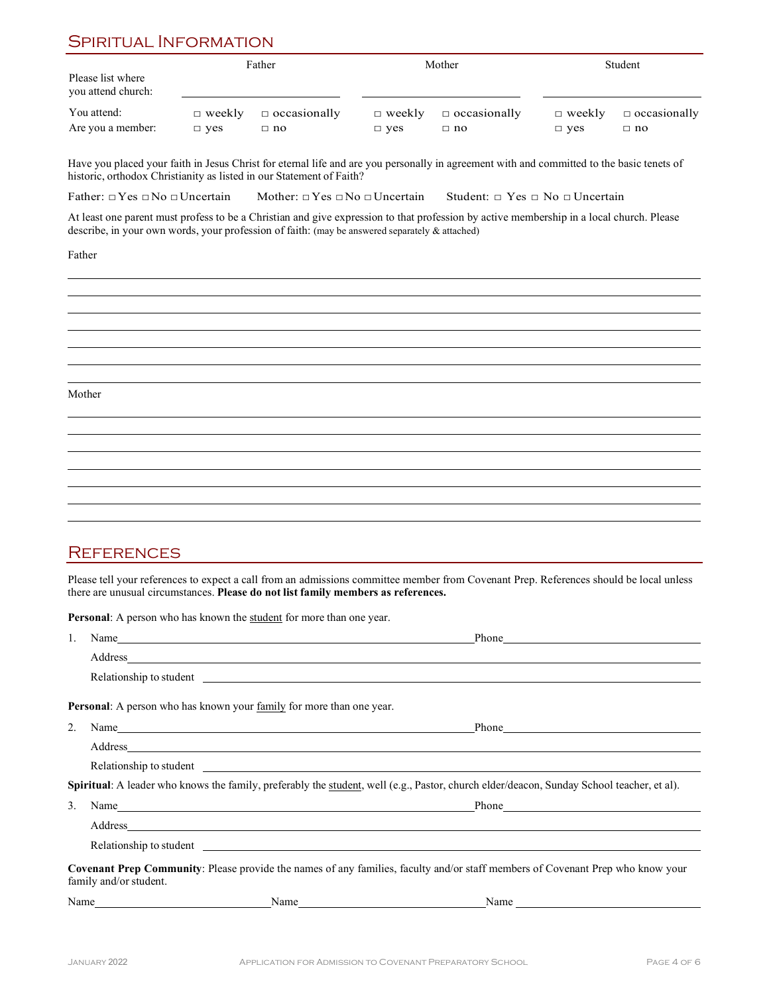### SPIRITUAL INFORMATION

| Father                                  |               |                     | Mother        |                     | Student       |                     |
|-----------------------------------------|---------------|---------------------|---------------|---------------------|---------------|---------------------|
| Please list where<br>you attend church: |               |                     |               |                     |               |                     |
| You attend:                             | $\Box$ weekly | $\Box$ occasionally | $\Box$ weekly | $\Box$ occasionally | $\Box$ weekly | $\Box$ occasionally |
| Are you a member:                       | $\Box$ yes    | $\Box$ no           | $\Box$ yes    | $\Box$ no           | $\Box$ ves    | $\Box$ no           |

Have you placed your faith in Jesus Christ for eternal life and are you personally in agreement with and committed to the basic tenets of historic, orthodox Christianity as listed in our Statement of Faith?

Father: □Yes □No □Uncertain Mother: □Yes □No □Uncertain Student: □ Yes □ No □Uncertain

At least one parent must profess to be a Christian and give expression to that profession by active membership in a local church. Please describe, in your own words, your profession of faith: (may be answered separately & attached)

Father

Mother

#### **REFERENCES**

Please tell your references to expect a call from an admissions committee member from Covenant Prep. References should be local unless there are unusual circumstances. **Please do not list family members as references.**

Personal: A person who has known the **student** for more than one year.

| 1. | Name has a series of the series of the series of the series of the series of the series of the series of the series of the series of the series of the series of the series of the series of the series of the series of the s | Phone Phone 2014                                                                                                                                                                                                                     |
|----|--------------------------------------------------------------------------------------------------------------------------------------------------------------------------------------------------------------------------------|--------------------------------------------------------------------------------------------------------------------------------------------------------------------------------------------------------------------------------------|
|    |                                                                                                                                                                                                                                |                                                                                                                                                                                                                                      |
|    | Relationship to student experience and the students of the students of the students of the students of the students of the students of the students of the students of the students of the students of the students of the stu |                                                                                                                                                                                                                                      |
|    | <b>Personal:</b> A person who has known your family for more than one year.                                                                                                                                                    |                                                                                                                                                                                                                                      |
| 2. | Name has a series of the series of the series of the series of the series of the series of the series of the series of the series of the series of the series of the series of the series of the series of the series of the s | Phone <u>Contains and the second contains and the second contains and the second contains and the second contains and the second contains and contains a second contains and contains a second contains a second contains a seco</u> |
|    |                                                                                                                                                                                                                                |                                                                                                                                                                                                                                      |
|    | Relationship to student experience and the contract of the contract of the contract of the contract of the contract of the contract of the contract of the contract of the contract of the contract of the contract of the con |                                                                                                                                                                                                                                      |
|    |                                                                                                                                                                                                                                | Spiritual: A leader who knows the family, preferably the student, well (e.g., Pastor, church elder/deacon, Sunday School teacher, et al).                                                                                            |
| 3. |                                                                                                                                                                                                                                |                                                                                                                                                                                                                                      |
|    |                                                                                                                                                                                                                                |                                                                                                                                                                                                                                      |
|    |                                                                                                                                                                                                                                | Relationship to student experience and the students of the students of the students of the students of the students of the students of the students of the students of the students of the students of the students of the stu       |
|    | family and/or student.                                                                                                                                                                                                         | <b>Covenant Prep Community:</b> Please provide the names of any families, faculty and/or staff members of Covenant Prep who know your                                                                                                |
|    |                                                                                                                                                                                                                                | $\text{Name}$                                                                                                                                                                                                                        |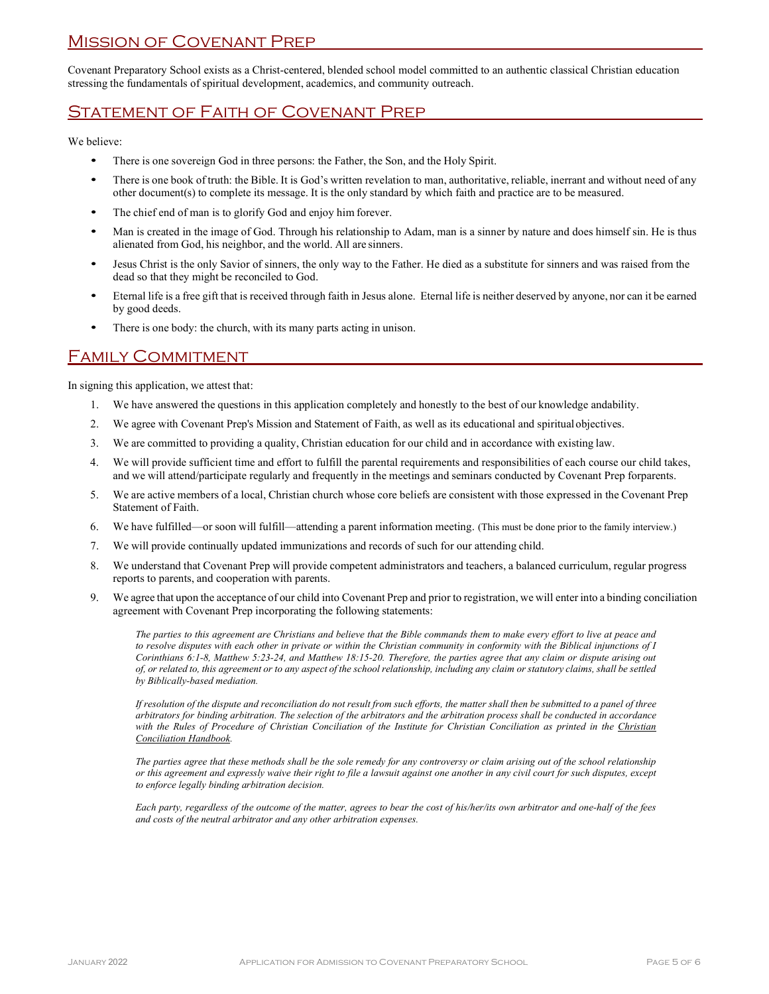#### Mission of Covenant Prep

Covenant Preparatory School exists as a Christ-centered, blended school model committed to an authentic classical Christian education stressing the fundamentals of spiritual development, academics, and community outreach.

### Statement of Faith of Covenant Prep

We believe:

- There is one sovereign God in three persons: the Father, the Son, and the Holy Spirit.
- There is one book of truth: the Bible. It is God's written revelation to man, authoritative, reliable, inerrant and without need of any other document(s) to complete its message. It is the only standard by which faith and practice are to be measured.
- The chief end of man is to glorify God and enjoy him forever.
- Man is created in the image of God. Through his relationship to Adam, man is a sinner by nature and does himself sin. He is thus alienated from God, his neighbor, and the world. All are sinners.
- Jesus Christ is the only Savior of sinners, the only way to the Father. He died as a substitute for sinners and was raised from the dead so that they might be reconciled to God.
- Eternal life is a free gift that is received through faith in Jesus alone. Eternal life is neither deserved by anyone, nor can it be earned by good deeds.
- There is one body: the church, with its many parts acting in unison.

#### Family Commitment

In signing this application, we attest that:

- 1. We have answered the questions in this application completely and honestly to the best of our knowledge andability.
- 2. We agree with Covenant Prep's Mission and Statement of Faith, as well as its educational and spiritualobjectives.
- 3. We are committed to providing a quality, Christian education for our child and in accordance with existing law.
- 4. We will provide sufficient time and effort to fulfill the parental requirements and responsibilities of each course our child takes, and we will attend/participate regularly and frequently in the meetings and seminars conducted by Covenant Prep forparents.
- 5. We are active members of a local, Christian church whose core beliefs are consistent with those expressed in the Covenant Prep Statement of Faith.
- 6. We have fulfilled—or soon will fulfill—attending a parent information meeting. (This must be done prior to the family interview.)
- 7. We will provide continually updated immunizations and records of such for our attending child.
- 8. We understand that Covenant Prep will provide competent administrators and teachers, a balanced curriculum, regular progress reports to parents, and cooperation with parents.
- 9. We agree that upon the acceptance of our child into Covenant Prep and prior to registration, we will enter into a binding conciliation agreement with Covenant Prep incorporating the following statements:

*The parties to this agreement are Christians and believe that the Bible commands them to make every effort to live at peace and to resolve disputes with each other in private or within the Christian community in conformity with the Biblical injunctions of I Corinthians 6:1-8, Matthew 5:23-24, and Matthew 18:15-20. Therefore, the parties agree that any claim or dispute arising out of, or related to, this agreement or to any aspect of the school relationship, including any claim or statutory claims, shall be settled by Biblically-based mediation.* 

*If resolution of the dispute and reconciliation do not result from such efforts, the matter shall then be submitted to a panel of three arbitrators for binding arbitration. The selection of the arbitrators and the arbitration process shall be conducted in accordance with the Rules of Procedure of Christian Conciliation of the Institute for Christian Conciliation as printed in the Christian Conciliation Handbook.* 

*The parties agree that these methods shall be the sole remedy for any controversy or claim arising out of the school relationship or this agreement and expressly waive their right to file a lawsuit against one another in any civil court for such disputes, except to enforce legally binding arbitration decision.* 

*Each party, regardless of the outcome of the matter, agrees to bear the cost of his/her/its own arbitrator and one-half of the fees and costs of the neutral arbitrator and any other arbitration expenses.*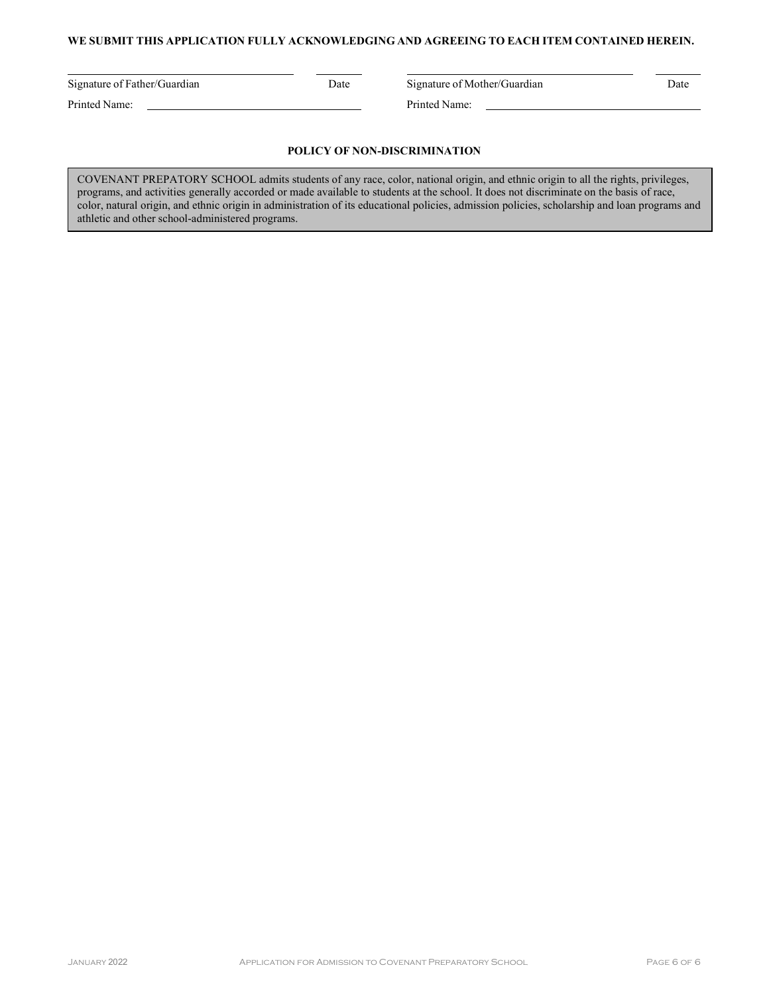#### **WE SUBMIT THIS APPLICATION FULLY ACKNOWLEDGING AND AGREEING TO EACH ITEM CONTAINED HEREIN.**

Printed Name: <u>Queenstand Name: Printed Name:</u> Printed Name:

Signature of Father/Guardian Date Signature of Mother/Guardian Date

#### **POLICY OF NON-DISCRIMINATION**

COVENANT PREPATORY SCHOOL admits students of any race, color, national origin, and ethnic origin to all the rights, privileges, programs, and activities generally accorded or made available to students at the school. It does not discriminate on the basis of race, color, natural origin, and ethnic origin in administration of its educational policies, admission policies, scholarship and loan programs and athletic and other school-administered programs.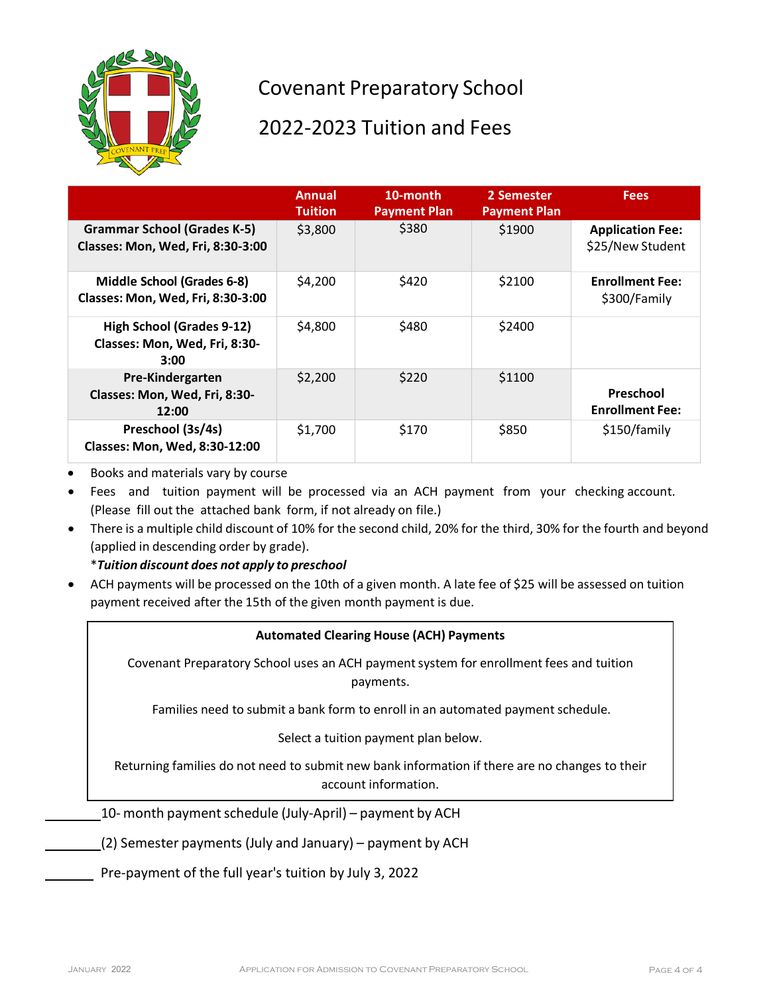

# Covenant Preparatory School

## 2022-2023 Tuition and Fees

|                                                                           | Annual<br><b>Tuition</b> | 10-month<br><b>Payment Plan</b> | 2 Semester<br><b>Payment Plan</b> | <b>Fees</b>                                 |
|---------------------------------------------------------------------------|--------------------------|---------------------------------|-----------------------------------|---------------------------------------------|
| <b>Grammar School (Grades K-5)</b><br>Classes: Mon, Wed, Fri, 8:30-3:00   | \$3,800                  | \$380                           | \$1900                            | <b>Application Fee:</b><br>\$25/New Student |
| Middle School (Grades 6-8)<br>Classes: Mon, Wed, Fri, 8:30-3:00           | \$4,200                  | \$420                           | \$2100                            | <b>Enrollment Fee:</b><br>\$300/Family      |
| <b>High School (Grades 9-12)</b><br>Classes: Mon, Wed, Fri, 8:30-<br>3:00 | \$4,800                  | \$480                           | \$2400                            |                                             |
| <b>Pre-Kindergarten</b><br>Classes: Mon, Wed, Fri, 8:30-<br>12:00         | \$2,200                  | \$220                           | \$1100                            | Preschool<br><b>Enrollment Fee:</b>         |
| Preschool (3s/4s)<br>Classes: Mon, Wed, 8:30-12:00                        | \$1,700                  | \$170                           | \$850                             | \$150/family                                |

• Books and materials vary by course

- Fees and tuition payment will be processed via an ACH payment from your checking account. (Please fill out the attached bank form, if not already on file.)
- There is a multiple child discount of 10% for the second child, 20% for the third, 30% for the fourth and beyond (applied in descending order by grade).

\**Tuition discount does not apply to preschool*

• ACH payments will be processed on the 10th of a given month. A late fee of \$25 will be assessed on tuition payment received after the 15th of the given month payment is due.

#### **Automated Clearing House (ACH) Payments**

Covenant Preparatory School uses an ACH payment system for enrollment fees and tuition payments.

Families need to submit a bank form to enroll in an automated payment schedule.

Select a tuition payment plan below.

Returning families do not need to submit new bank information if there are no changes to their account information.

 $10-$  month payment schedule (July-April) – payment by ACH

(2) Semester payments (July and January) – payment by ACH

Pre-payment of the full year's tuition by July 3, 2022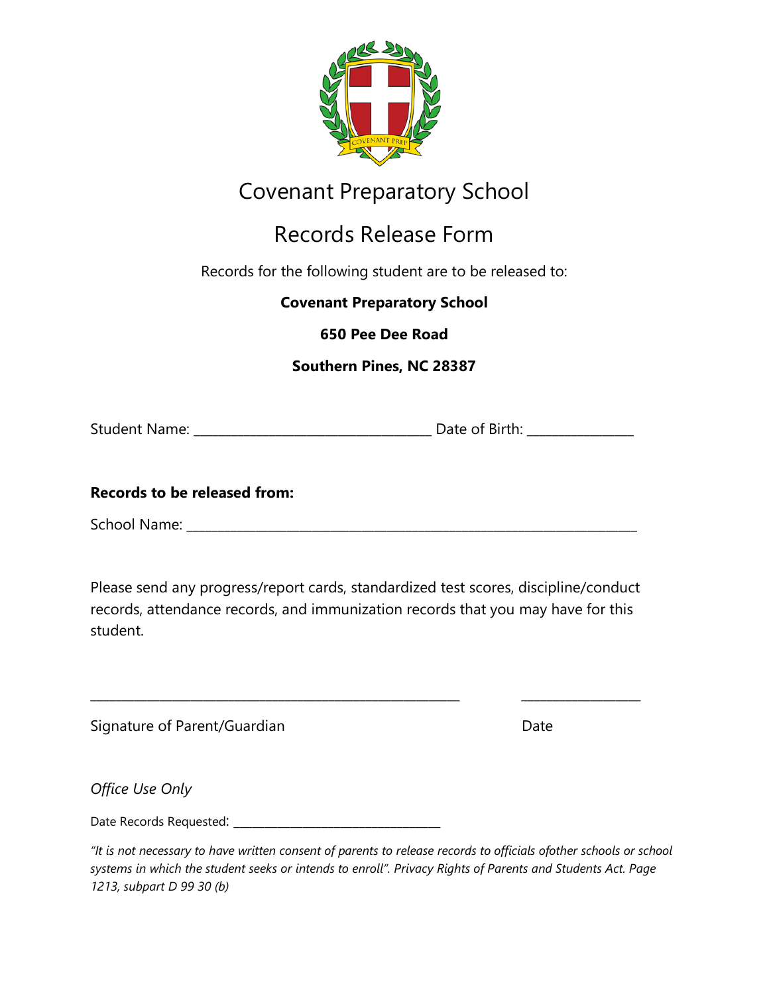

# Covenant Preparatory School

# Records Release Form

Records for the following student are to be released to:

**Covenant Preparatory School**

**650 Pee Dee Road**

**Southern Pines, NC 28387**

Student Name: \_\_\_\_\_\_\_\_\_\_\_\_\_\_\_\_\_\_\_\_\_\_\_\_\_\_\_\_\_\_\_\_\_\_\_\_\_\_ Date of Birth: \_\_\_\_\_\_\_\_\_\_\_\_\_\_\_\_\_

## **Records to be released from:**

School Name: \_\_\_\_\_\_\_\_\_\_\_\_\_\_\_\_\_\_\_\_\_\_\_\_\_\_\_\_\_\_\_\_\_\_\_\_\_\_\_\_\_\_\_\_\_\_\_\_\_\_\_\_\_\_\_\_\_\_\_\_\_\_\_\_\_\_\_\_\_\_\_\_

Please send any progress/report cards, standardized test scores, discipline/conduct records, attendance records, and immunization records that you may have for this student.

\_\_\_\_\_\_\_\_\_\_\_\_\_\_\_\_\_\_\_\_\_\_\_\_\_\_\_\_\_\_\_\_\_\_\_\_\_\_\_\_\_\_\_\_\_\_\_\_\_\_\_\_\_\_\_\_\_\_\_ \_\_\_\_\_\_\_\_\_\_\_\_\_\_\_\_\_\_\_

| Signature of Parent/Guardian | Date |
|------------------------------|------|

*Office Use Only*

Date Records Requested: \_\_\_\_\_\_\_\_\_\_\_\_\_\_\_\_\_\_\_\_\_\_\_\_\_\_\_\_\_\_\_\_\_

*"It is not necessary to have written consent of parents to release records to officials ofother schools or school systems in which the student seeks or intends to enroll". Privacy Rights of Parents and Students Act. Page 1213, subpart D 99 30 (b)*